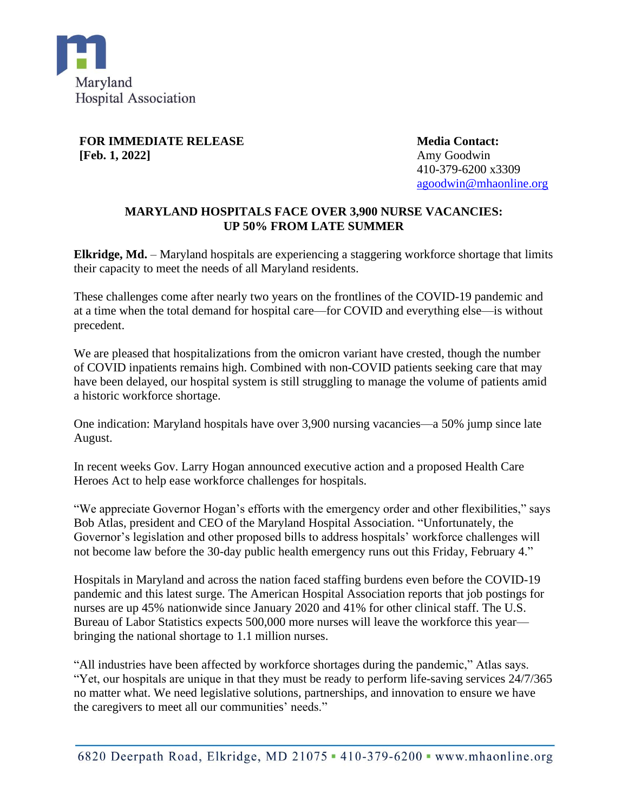

**FOR IMMEDIATE RELEASE [Feb. 1, 2022]**

**Media Contact:** Amy Goodwin 410-379-6200 x3309 [agoodwin@mhaonline.org](mailto:agoodwin@mhaonline.org)

## **MARYLAND HOSPITALS FACE OVER 3,900 NURSE VACANCIES: UP 50% FROM LATE SUMMER**

**Elkridge, Md.** – Maryland hospitals are experiencing a staggering workforce shortage that limits their capacity to meet the needs of all Maryland residents.

These challenges come after nearly two years on the frontlines of the COVID-19 pandemic and at a time when the total demand for hospital care—for COVID and everything else—is without precedent.

We are pleased that hospitalizations from the omicron variant have crested, though the number of COVID inpatients remains high. Combined with non-COVID patients seeking care that may have been delayed, our hospital system is still struggling to manage the volume of patients amid a historic workforce shortage.

One indication: Maryland hospitals have over 3,900 nursing vacancies—a 50% jump since late August.

In recent weeks Gov. Larry Hogan announced executive action and a proposed Health Care Heroes Act to help ease workforce challenges for hospitals.

"We appreciate Governor Hogan's efforts with the emergency order and other flexibilities," says Bob Atlas, president and CEO of the Maryland Hospital Association. "Unfortunately, the Governor's legislation and other proposed bills to address hospitals' workforce challenges will not become law before the 30-day public health emergency runs out this Friday, February 4."

Hospitals in Maryland and across the nation faced staffing burdens even before the COVID-19 pandemic and this latest surge. The American Hospital Association reports that job postings for nurses are up 45% nationwide since January 2020 and 41% for other clinical staff. The U.S. Bureau of Labor Statistics expects 500,000 more nurses will leave the workforce this year bringing the national shortage to 1.1 million nurses.

"All industries have been affected by workforce shortages during the pandemic," Atlas says. "Yet, our hospitals are unique in that they must be ready to perform life-saving services 24/7/365 no matter what. We need legislative solutions, partnerships, and innovation to ensure we have the caregivers to meet all our communities' needs."